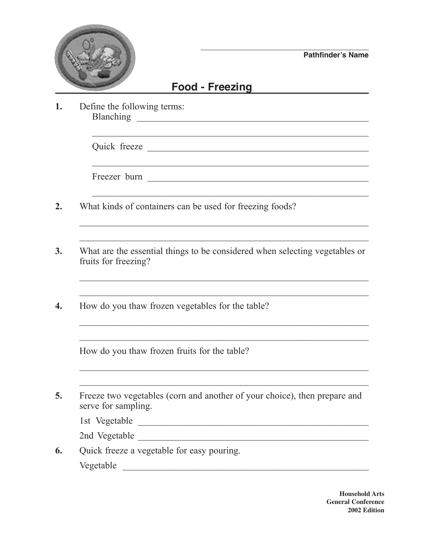

**Pathfinder's Name**

## **Food - Freezing**

 $\mathcal{L}_\text{max}$  , and the contract of the contract of the contract of the contract of the contract of the contract of the contract of the contract of the contract of the contract of the contract of the contract of the contr

 $\mathcal{L}_\text{max}$  and the contract of the contract of the contract of the contract of the contract of the contract of

 $\mathcal{L}_\text{max}$  , and the contribution of the contribution of the contribution of the contribution of the contribution of the contribution of the contribution of the contribution of the contribution of the contribution of t

 $\mathcal{L}_\text{max}$  , and the contribution of the contribution of the contribution of the contribution of the contribution of the contribution of the contribution of the contribution of the contribution of the contribution of t

 $\mathcal{L}_\mathcal{L}$  , and the set of the set of the set of the set of the set of the set of the set of the set of the set of the set of the set of the set of the set of the set of the set of the set of the set of the set of th

**1.** Define the following terms: Blanching \_\_\_\_\_\_\_\_\_\_\_\_\_\_\_\_\_\_\_\_\_\_\_\_\_\_\_\_\_\_\_\_\_\_\_\_\_\_\_\_\_\_\_\_\_\_\_\_\_

Quick freeze

Freezer burn \_\_\_\_\_\_\_\_\_\_\_\_\_\_\_\_\_\_\_\_\_\_\_\_\_\_\_\_\_\_\_\_\_\_\_\_\_\_\_\_\_\_\_\_\_\_\_

- **2.** What kinds of containers can be used for freezing foods?
- **3.** What are the essential things to be considered when selecting vegetables or fruits for freezing?
- **4.** How do you thaw frozen vegetables for the table?

How do you thaw frozen fruits for the table?

**5.** Freeze two vegetables (corn and another of your choice), then prepare and serve for sampling.

1st Vegetable \_\_\_\_\_\_\_\_\_\_\_\_\_\_\_\_\_\_\_\_\_\_\_\_\_\_\_\_\_\_\_\_\_\_\_\_\_\_\_\_\_\_\_\_\_\_\_\_\_

2nd Vegetable

**6.** Quick freeze a vegetable for easy pouring.

Vegetable \_\_\_\_\_\_\_\_\_\_\_\_\_\_\_\_\_\_\_\_\_\_\_\_\_\_\_\_\_\_\_\_\_\_\_\_\_\_\_\_\_\_\_\_\_\_\_\_\_\_\_\_

**Household Arts General Conference 2002 Edition**